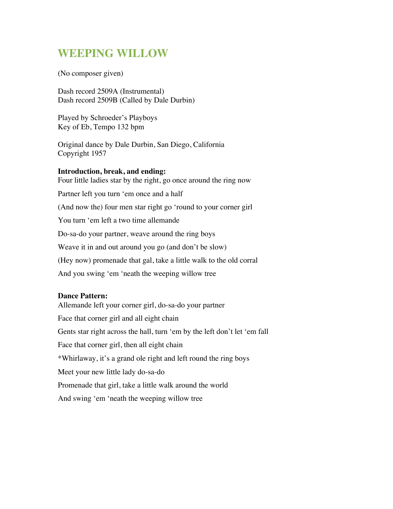## **WEEPING WILLOW**

(No composer given)

Dash record 2509A (Instrumental) Dash record 2509B (Called by Dale Durbin)

Played by Schroeder's Playboys Key of Eb, Tempo 132 bpm

Original dance by Dale Durbin, San Diego, California Copyright 1957

## **Introduction, break, and ending:** Four little ladies star by the right, go once around the ring now Partner left you turn 'em once and a half (And now the) four men star right go 'round to your corner girl You turn 'em left a two time allemande Do-sa-do your partner, weave around the ring boys Weave it in and out around you go (and don't be slow) (Hey now) promenade that gal, take a little walk to the old corral And you swing 'em 'neath the weeping willow tree

## **Dance Pattern:**

Allemande left your corner girl, do-sa-do your partner Face that corner girl and all eight chain Gents star right across the hall, turn 'em by the left don't let 'em fall Face that corner girl, then all eight chain \*Whirlaway, it's a grand ole right and left round the ring boys Meet your new little lady do-sa-do Promenade that girl, take a little walk around the world And swing 'em 'neath the weeping willow tree